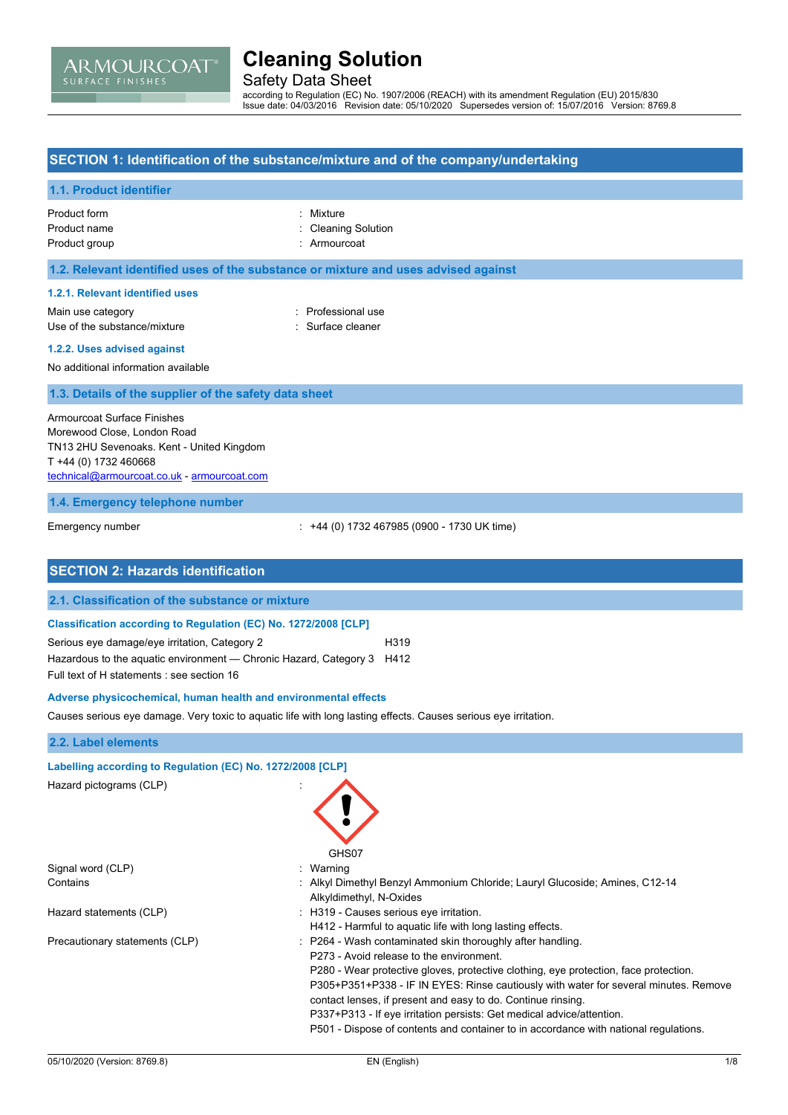# ARMOURCOAT

## **Cleaning Solution**

Safety Data Sheet

according to Regulation (EC) No. 1907/2006 (REACH) with its amendment Regulation (EU) 2015/830 Issue date: 04/03/2016 Revision date: 05/10/2020 Supersedes version of: 15/07/2016 Version: 8769.8

### **SECTION 1: Identification of the substance/mixture and of the company/undertaking**

## **1.1. Product identifier** Product form **: Mixture** Product name **in the case of the Cleaning Solution** Cleaning Solution Product group **in the case of the contract of the case of the contract of the contract of the contract of the contract of the contract of the contract of the contract of the contract of the contract of the contract of the 1.2. Relevant identified uses of the substance or mixture and uses advised against 1.2.1. Relevant identified uses** Main use category **Example 20** and the Professional use Use of the substance/mixture in the substance/mixture in the surface cleaner **1.2.2. Uses advised against** No additional information available **1.3. Details of the supplier of the safety data sheet 1.4. Emergency telephone number** Emergency number : +44 (0) 1732 467985 (0900 - 1730 UK time) **SECTION 2: Hazards identification 2.1. Classification of the substance or mixture Classification according to Regulation (EC) No. 1272/2008 [CLP]** Serious eye damage/eye irritation, Category 2 H319 Hazardous to the aquatic environment — Chronic Hazard, Category 3 H412 Full text of H statements : see section 16 **Adverse physicochemical, human health and environmental effects** Causes serious eye damage. Very toxic to aquatic life with long lasting effects. Causes serious eye irritation. **2.2. Label elements Labelling according to Regulation (EC) No. 1272/2008 [CLP]** Hazard pictograms (CLP) : GHS07 Signal word (CLP) : Warning Contains : Alkyl Dimethyl Benzyl Ammonium Chloride; Lauryl Glucoside; Amines, C12-14 Alkyldimethyl, N-Oxides Hazard statements (CLP)  $\qquad \qquad$ : H319 - Causes serious eye irritation. H412 - Harmful to aquatic life with long lasting effects. Precautionary statements (CLP) : P264 - Wash contaminated skin thoroughly after handling. P273 - Avoid release to the environment. Armourcoat Surface Finishes Morewood Close, London Road TN13 2HU Sevenoaks. Kent - United Kingdom T +44 (0) 1732 460668 [technical@armourcoat.co.uk](mailto:technical@armourcoat.co.uk) - <armourcoat.com>

P280 - Wear protective gloves, protective clothing, eye protection, face protection. P305+P351+P338 - IF IN EYES: Rinse cautiously with water for several minutes. Remove

P501 - Dispose of contents and container to in accordance with national regulations.

contact lenses, if present and easy to do. Continue rinsing. P337+P313 - If eye irritation persists: Get medical advice/attention.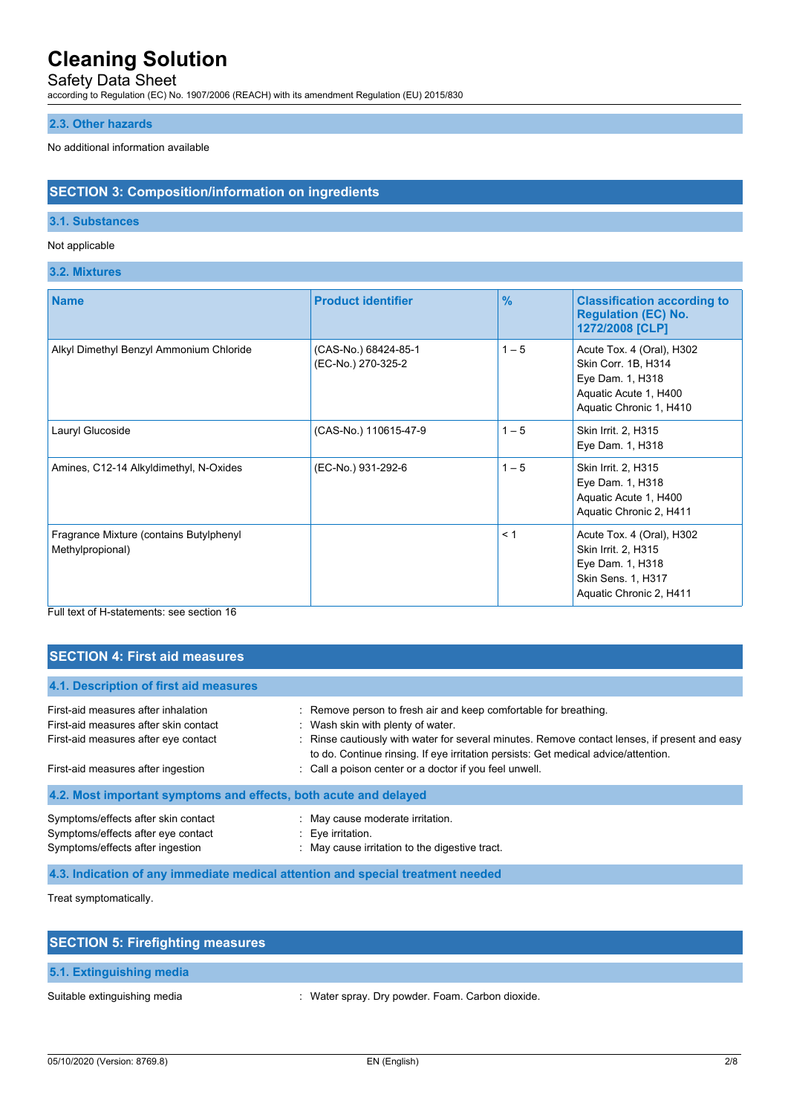## Safety Data Sheet

according to Regulation (EC) No. 1907/2006 (REACH) with its amendment Regulation (EU) 2015/830

### **2.3. Other hazards**

#### No additional information available

### **SECTION 3: Composition/information on ingredients**

#### **3.1. Substances**

#### Not applicable

#### **3.2. Mixtures**

| <b>Name</b>                                                 | <b>Product identifier</b>                  | $\frac{9}{6}$ | <b>Classification according to</b><br><b>Regulation (EC) No.</b><br>1272/2008 [CLP]                                      |
|-------------------------------------------------------------|--------------------------------------------|---------------|--------------------------------------------------------------------------------------------------------------------------|
| Alkyl Dimethyl Benzyl Ammonium Chloride                     | (CAS-No.) 68424-85-1<br>(EC-No.) 270-325-2 | $1 - 5$       | Acute Tox. 4 (Oral), H302<br>Skin Corr. 1B, H314<br>Eye Dam. 1, H318<br>Aquatic Acute 1, H400<br>Aquatic Chronic 1, H410 |
| Lauryl Glucoside                                            | (CAS-No.) 110615-47-9                      | $1 - 5$       | Skin Irrit. 2, H315<br>Eye Dam. 1, H318                                                                                  |
| Amines, C12-14 Alkyldimethyl, N-Oxides                      | (EC-No.) 931-292-6                         | $1 - 5$       | Skin Irrit. 2, H315<br>Eye Dam. 1, H318<br>Aquatic Acute 1, H400<br>Aquatic Chronic 2, H411                              |
| Fragrance Mixture (contains Butylphenyl<br>Methylpropional) |                                            | < 1           | Acute Tox. 4 (Oral), H302<br>Skin Irrit. 2, H315<br>Eye Dam. 1, H318<br>Skin Sens. 1, H317<br>Aquatic Chronic 2, H411    |

#### Full text of H-statements: see section 16

### **SECTION 4: First aid measures**

| 4.1. Description of first aid measures                                                                        |                                                                                                                                                                                                                                               |  |  |  |
|---------------------------------------------------------------------------------------------------------------|-----------------------------------------------------------------------------------------------------------------------------------------------------------------------------------------------------------------------------------------------|--|--|--|
| First-aid measures after inhalation<br>First-aid measures after skin contact                                  | : Remove person to fresh air and keep comfortable for breathing.<br>: Wash skin with plenty of water.                                                                                                                                         |  |  |  |
| First-aid measures after eye contact<br>First-aid measures after ingestion                                    | : Rinse cautiously with water for several minutes. Remove contact lenses, if present and easy<br>to do. Continue rinsing. If eye irritation persists: Get medical advice/attention.<br>: Call a poison center or a doctor if you feel unwell. |  |  |  |
| 4.2. Most important symptoms and effects, both acute and delayed                                              |                                                                                                                                                                                                                                               |  |  |  |
| Symptoms/effects after skin contact<br>Symptoms/effects after eye contact<br>Symptoms/effects after ingestion | : May cause moderate irritation.<br>$\therefore$ Eye irritation.<br>: May cause irritation to the digestive tract.                                                                                                                            |  |  |  |

**4.3. Indication of any immediate medical attention and special treatment needed**

Treat symptomatically.

| <b>SECTION 5: Firefighting measures</b> |                                                |  |  |
|-----------------------------------------|------------------------------------------------|--|--|
| 5.1. Extinguishing media                |                                                |  |  |
| Suitable extinguishing media            | Water spray. Dry powder. Foam. Carbon dioxide. |  |  |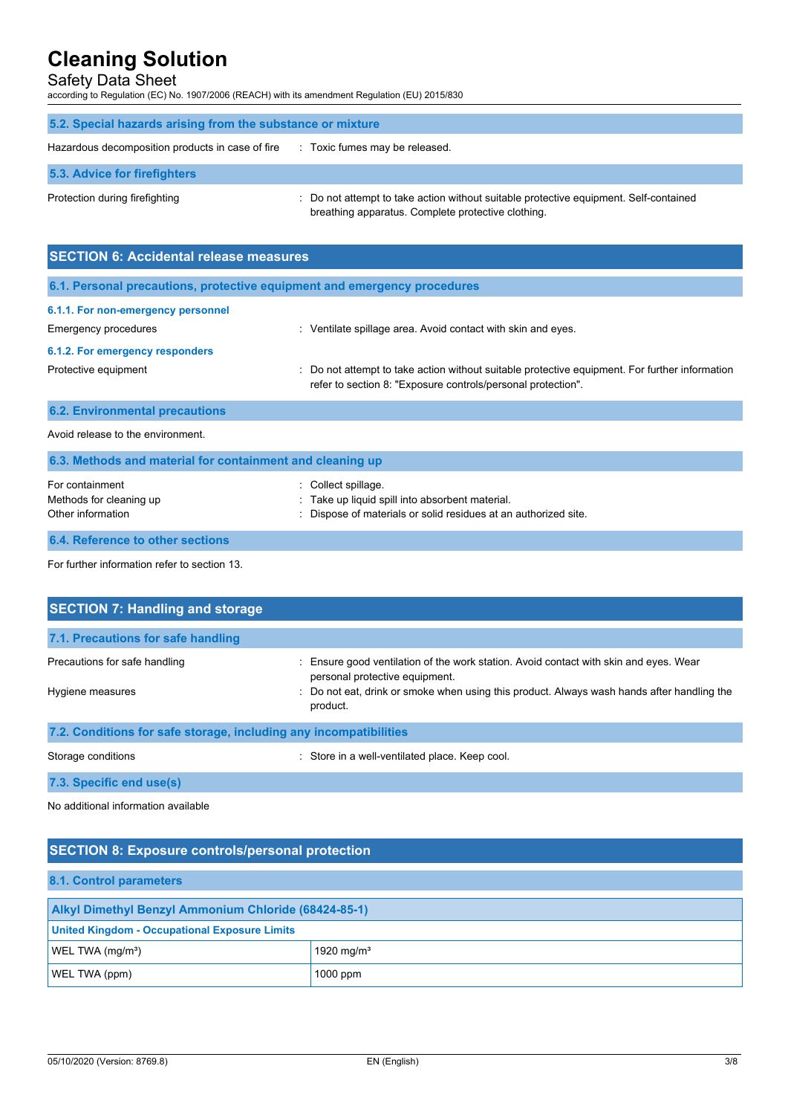## Safety Data Sheet

according to Regulation (EC) No. 1907/2006 (REACH) with its amendment Regulation (EU) 2015/830

| 5.2. Special hazards arising from the substance or mixture |                                                                                                                                             |  |  |
|------------------------------------------------------------|---------------------------------------------------------------------------------------------------------------------------------------------|--|--|
| Hazardous decomposition products in case of fire           | : Toxic fumes may be released.                                                                                                              |  |  |
| 5.3. Advice for firefighters                               |                                                                                                                                             |  |  |
| Protection during firefighting                             | : Do not attempt to take action without suitable protective equipment. Self-contained<br>breathing apparatus. Complete protective clothing. |  |  |

| <b>SECTION 6: Accidental release measures</b>                            |                                                                                                                                                                |  |  |
|--------------------------------------------------------------------------|----------------------------------------------------------------------------------------------------------------------------------------------------------------|--|--|
| 6.1. Personal precautions, protective equipment and emergency procedures |                                                                                                                                                                |  |  |
| 6.1.1. For non-emergency personnel                                       |                                                                                                                                                                |  |  |
| Emergency procedures                                                     | Ventilate spillage area. Avoid contact with skin and eyes.<br>÷                                                                                                |  |  |
| 6.1.2. For emergency responders                                          |                                                                                                                                                                |  |  |
| Protective equipment                                                     | : Do not attempt to take action without suitable protective equipment. For further information<br>refer to section 8: "Exposure controls/personal protection". |  |  |
| <b>6.2. Environmental precautions</b>                                    |                                                                                                                                                                |  |  |
| Avoid release to the environment.                                        |                                                                                                                                                                |  |  |
| 6.3. Methods and material for containment and cleaning up                |                                                                                                                                                                |  |  |
| For containment                                                          | Collect spillage.                                                                                                                                              |  |  |

| For containment                  | : Collect spillage.                                           |
|----------------------------------|---------------------------------------------------------------|
| Methods for cleaning up          | Take up liquid spill into absorbent material.                 |
| Other information                | Dispose of materials or solid residues at an authorized site. |
|                                  |                                                               |
| 6.4. Reference to other sections |                                                               |

For further information refer to section 13.

| <b>SECTION 7: Handling and storage</b>                            |                                                                                                                         |  |
|-------------------------------------------------------------------|-------------------------------------------------------------------------------------------------------------------------|--|
| 7.1. Precautions for safe handling                                |                                                                                                                         |  |
| Precautions for safe handling                                     | : Ensure good ventilation of the work station. Avoid contact with skin and eyes. Wear<br>personal protective equipment. |  |
| Hygiene measures                                                  | : Do not eat, drink or smoke when using this product. Always wash hands after handling the<br>product.                  |  |
| 7.2. Conditions for safe storage, including any incompatibilities |                                                                                                                         |  |

Storage conditions **Storage conditions** : Store in a well-ventilated place. Keep cool.

### **7.3. Specific end use(s)**

No additional information available

## **SECTION 8: Exposure controls/personal protection**

| 8.1. Control parameters                                     |                        |  |  |
|-------------------------------------------------------------|------------------------|--|--|
| <b>Alkyl Dimethyl Benzyl Ammonium Chloride (68424-85-1)</b> |                        |  |  |
| <b>United Kingdom - Occupational Exposure Limits</b>        |                        |  |  |
| WEL TWA (mg/m <sup>3</sup> )                                | 1920 mg/m <sup>3</sup> |  |  |
| WEL TWA (ppm)                                               | $1000$ ppm             |  |  |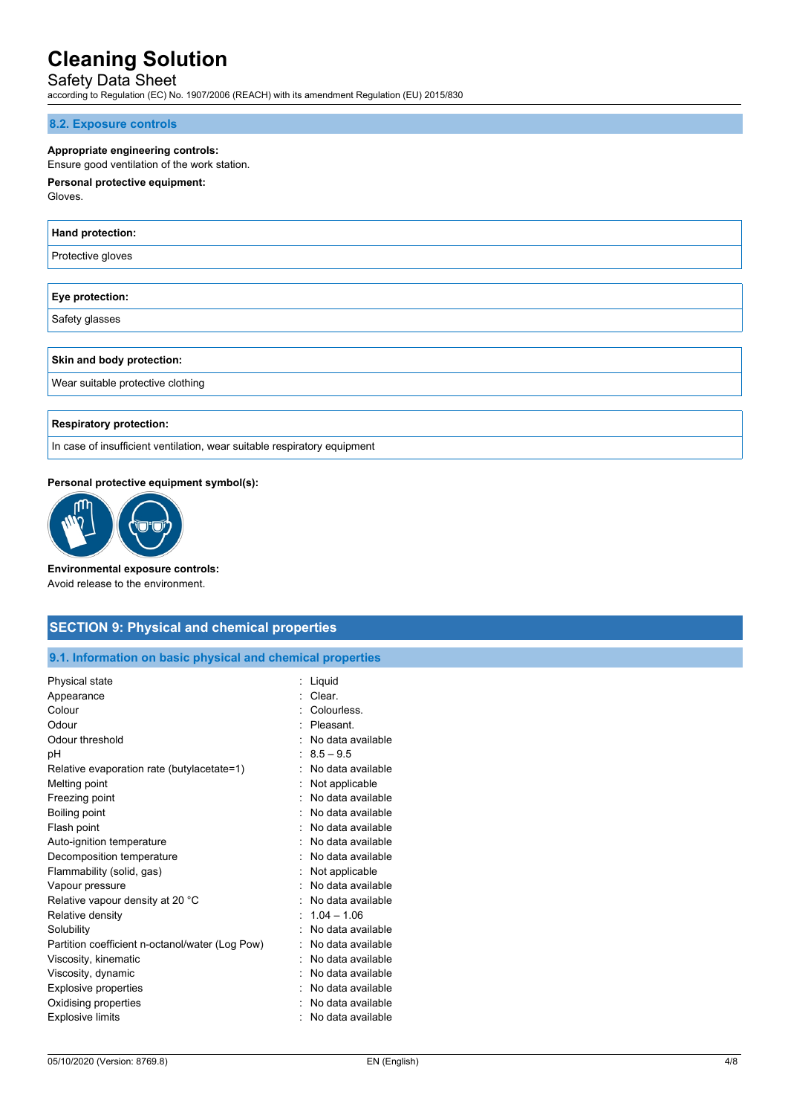## Safety Data Sheet

according to Regulation (EC) No. 1907/2006 (REACH) with its amendment Regulation (EU) 2015/830

#### **8.2. Exposure controls**

#### **Appropriate engineering controls:**

#### Ensure good ventilation of the work station.

## **Personal protective equipment:**

Gloves.

| <b>Hand protection:</b> |  |
|-------------------------|--|
| Protective gloves       |  |
|                         |  |
| Eye protection:         |  |
| Safety glasses          |  |
|                         |  |

#### **Skin and body protection:**

Wear suitable protective clothing

#### **Respiratory protection:**

In case of insufficient ventilation, wear suitable respiratory equipment

#### **Personal protective equipment symbol(s):**



**Environmental exposure controls:** Avoid release to the environment.

### **SECTION 9: Physical and chemical properties**

#### **9.1. Information on basic physical and chemical properties**

| Physical state                                  | Liguid            |
|-------------------------------------------------|-------------------|
| Appearance                                      | Clear.            |
| Colour                                          | Colourless.       |
| Odour                                           | Pleasant.         |
| Odour threshold                                 | No data available |
| рH                                              | $8.5 - 9.5$       |
| Relative evaporation rate (butylacetate=1)      | No data available |
| Melting point                                   | Not applicable    |
| Freezing point                                  | No data available |
| Boiling point                                   | No data available |
| Flash point                                     | No data available |
| Auto-ignition temperature                       | No data available |
| Decomposition temperature                       | No data available |
| Flammability (solid, gas)                       | Not applicable    |
| Vapour pressure                                 | No data available |
| Relative vapour density at 20 °C                | No data available |
| Relative density                                | $1.04 - 1.06$     |
| Solubility                                      | No data available |
| Partition coefficient n-octanol/water (Log Pow) | No data available |
| Viscosity, kinematic                            | No data available |
| Viscosity, dynamic                              | No data available |
| <b>Explosive properties</b>                     | No data available |
| Oxidising properties                            | No data available |
| <b>Explosive limits</b>                         | No data available |
|                                                 |                   |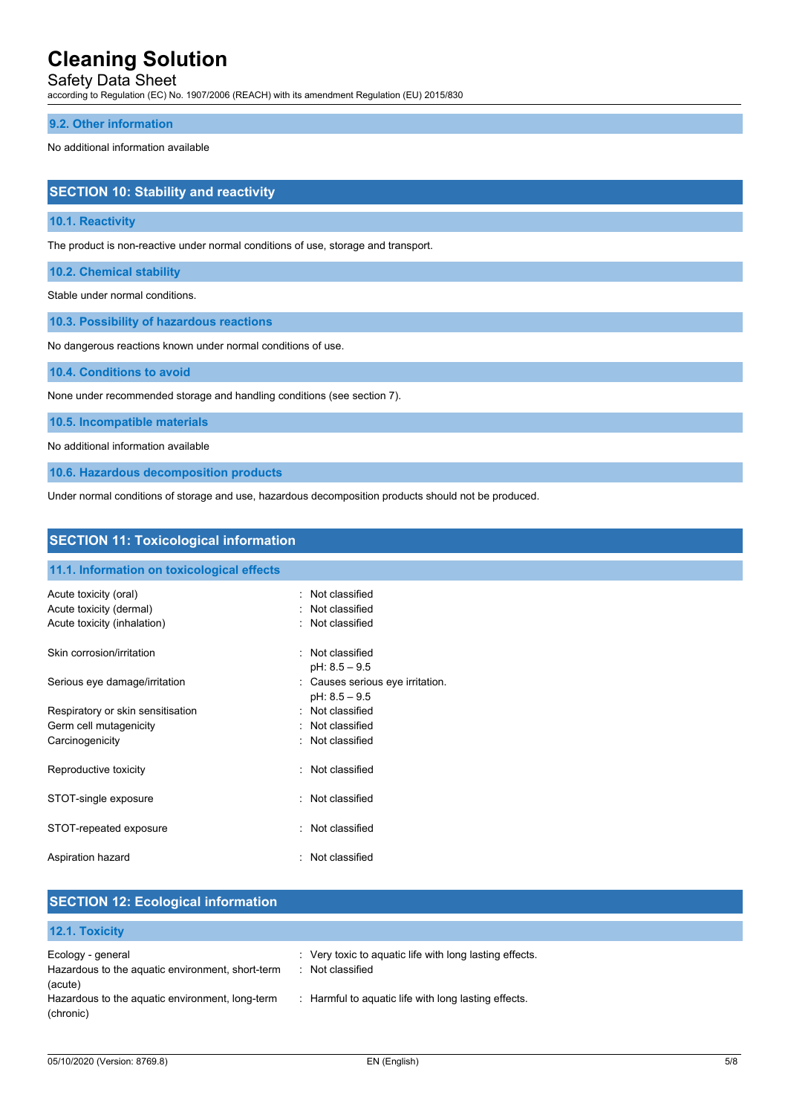Safety Data Sheet

according to Regulation (EC) No. 1907/2006 (REACH) with its amendment Regulation (EU) 2015/830

#### **9.2. Other information**

No additional information available

| <b>SECTION 10: Stability and reactivity</b> |  |
|---------------------------------------------|--|
|                                             |  |
|                                             |  |

#### **10.1. Reactivity**

The product is non-reactive under normal conditions of use, storage and transport.

**10.2. Chemical stability**

Stable under normal conditions.

**10.3. Possibility of hazardous reactions**

No dangerous reactions known under normal conditions of use.

**10.4. Conditions to avoid**

None under recommended storage and handling conditions (see section 7).

**10.5. Incompatible materials**

No additional information available

**10.6. Hazardous decomposition products**

Under normal conditions of storage and use, hazardous decomposition products should not be produced.

| <b>SECTION 11: Toxicological information</b>     |    |                                                     |  |
|--------------------------------------------------|----|-----------------------------------------------------|--|
| 11.1. Information on toxicological effects       |    |                                                     |  |
| Acute toxicity (oral)<br>Acute toxicity (dermal) |    | : Not classified<br>: Not classified                |  |
| Acute toxicity (inhalation)                      |    | : Not classified                                    |  |
| Skin corrosion/irritation                        |    | : Not classified<br>$pH: 8.5 - 9.5$                 |  |
| Serious eye damage/irritation                    |    | : Causes serious eye irritation.<br>$pH: 8.5 - 9.5$ |  |
| Respiratory or skin sensitisation                |    | : Not classified                                    |  |
| Germ cell mutagenicity                           |    | : Not classified                                    |  |
| Carcinogenicity                                  |    | : Not classified                                    |  |
| Reproductive toxicity                            |    | : Not classified                                    |  |
| STOT-single exposure                             |    | : Not classified                                    |  |
| STOT-repeated exposure                           |    | : Not classified                                    |  |
| Aspiration hazard                                | t. | Not classified                                      |  |

## **SECTION 12: Ecological information**

#### **12.1. Toxicity**

| Ecology - general<br>Hazardous to the aquatic environment, short-term | : Very toxic to aguatic life with long lasting effects.<br>Not classified |
|-----------------------------------------------------------------------|---------------------------------------------------------------------------|
| (acute)                                                               |                                                                           |
| Hazardous to the aquatic environment, long-term<br>(chronic)          | : Harmful to aquatic life with long lasting effects.                      |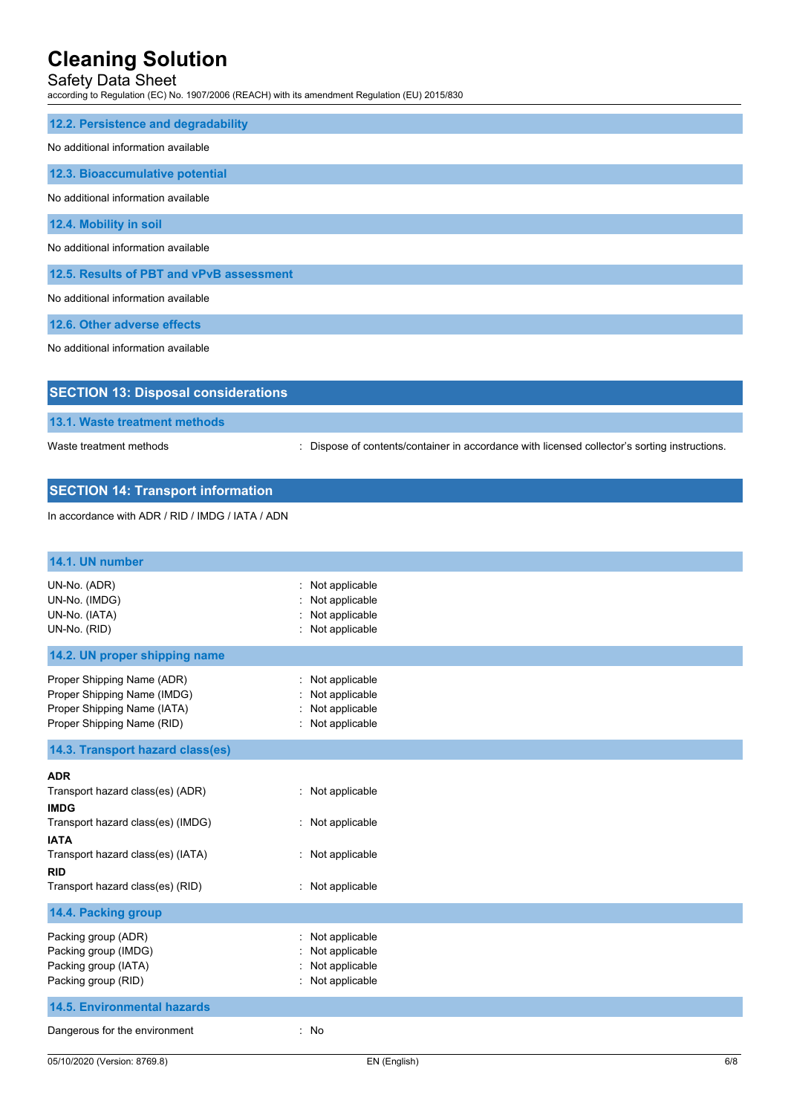## Safety Data Sheet

according to Regulation (EC) No. 1907/2006 (REACH) with its amendment Regulation (EU) 2015/830

| 12.2. Persistence and degradability        |
|--------------------------------------------|
| No additional information available        |
| 12.3. Bioaccumulative potential            |
| No additional information available        |
| 12.4. Mobility in soil                     |
| No additional information available        |
| 12.5. Results of PBT and vPvB assessment   |
| No additional information available        |
| 12.6. Other adverse effects                |
| No additional information available        |
|                                            |
| <b>SECTION 13: Disposal considerations</b> |

**13.1. Waste treatment methods**

Waste treatment methods : Dispose of contents/container in accordance with licensed collector's sorting instructions.

## **SECTION 14: Transport information**

In accordance with ADR / RID / IMDG / IATA / ADN

| 14.1. UN number                                                                                                                                                                                          |                                                                              |     |
|----------------------------------------------------------------------------------------------------------------------------------------------------------------------------------------------------------|------------------------------------------------------------------------------|-----|
| UN-No. (ADR)<br>UN-No. (IMDG)<br>UN-No. (IATA)<br>UN-No. (RID)                                                                                                                                           | Not applicable<br>Not applicable<br>Not applicable<br>Not applicable         |     |
| 14.2. UN proper shipping name                                                                                                                                                                            |                                                                              |     |
| Proper Shipping Name (ADR)<br>Proper Shipping Name (IMDG)<br>Proper Shipping Name (IATA)<br>Proper Shipping Name (RID)                                                                                   | Not applicable<br>Not applicable<br>Not applicable<br>: Not applicable       |     |
| 14.3. Transport hazard class(es)                                                                                                                                                                         |                                                                              |     |
| <b>ADR</b><br>Transport hazard class(es) (ADR)<br><b>IMDG</b><br>Transport hazard class(es) (IMDG)<br><b>IATA</b><br>Transport hazard class(es) (IATA)<br><b>RID</b><br>Transport hazard class(es) (RID) | : Not applicable<br>: Not applicable<br>: Not applicable<br>: Not applicable |     |
| 14.4. Packing group                                                                                                                                                                                      |                                                                              |     |
| Packing group (ADR)<br>Packing group (IMDG)<br>Packing group (IATA)<br>Packing group (RID)                                                                                                               | Not applicable<br>Not applicable<br>Not applicable<br>Not applicable         |     |
| <b>14.5. Environmental hazards</b>                                                                                                                                                                       |                                                                              |     |
| Dangerous for the environment                                                                                                                                                                            | : No                                                                         |     |
| 05/10/2020 (Version: 8769.8)                                                                                                                                                                             | EN (English)                                                                 | 6/8 |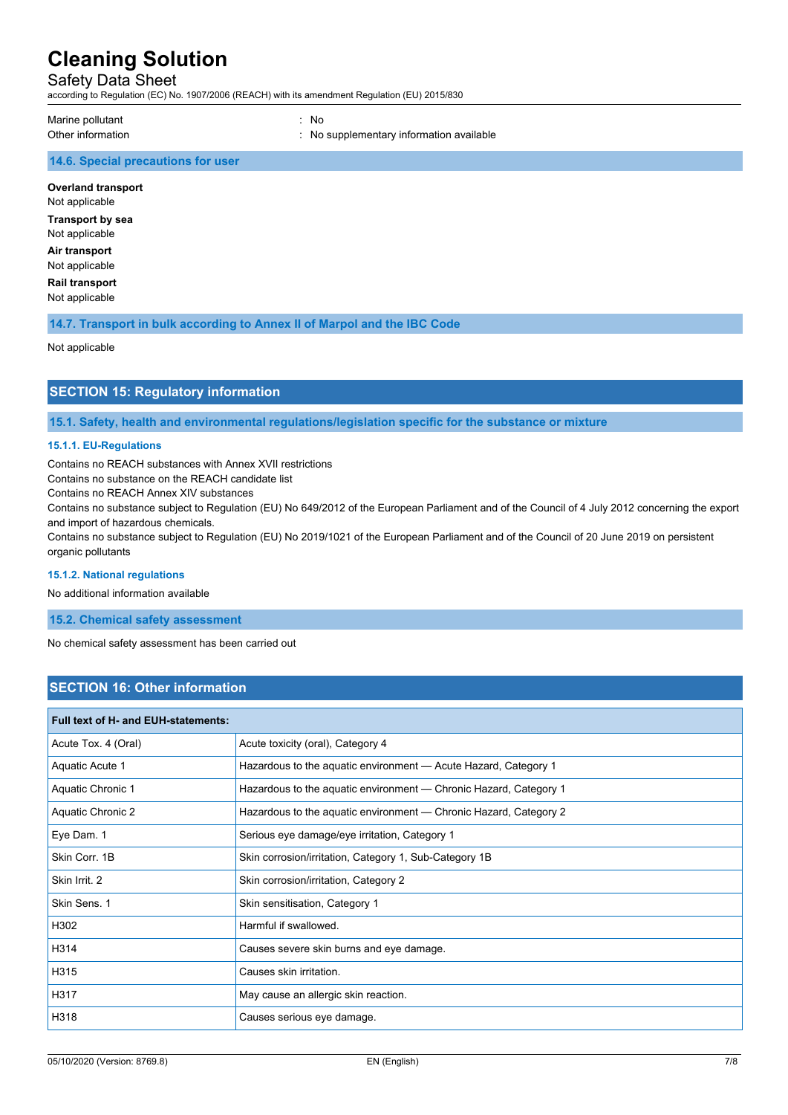#### Safety Data Sheet

according to Regulation (EC) No. 1907/2006 (REACH) with its amendment Regulation (EU) 2015/830

Marine pollutant : No

Other information **contracts** : No supplementary information available

#### **14.6. Special precautions for user**

**Overland transport** Not applicable

**Transport by sea** Not applicable

**Air transport** Not applicable

**Rail transport** Not applicable

**14.7. Transport in bulk according to Annex II of Marpol and the IBC Code**

Not applicable

## **SECTION 15: Regulatory information**

**15.1. Safety, health and environmental regulations/legislation specific for the substance or mixture**

#### **15.1.1. EU-Regulations**

Contains no REACH substances with Annex XVII restrictions

Contains no substance on the REACH candidate list

Contains no REACH Annex XIV substances

Contains no substance subject to Regulation (EU) No 649/2012 of the European Parliament and of the Council of 4 July 2012 concerning the export and import of hazardous chemicals.

Contains no substance subject to Regulation (EU) No 2019/1021 of the European Parliament and of the Council of 20 June 2019 on persistent organic pollutants

#### **15.1.2. National regulations**

No additional information available

**15.2. Chemical safety assessment**

No chemical safety assessment has been carried out

### **SECTION 16: Other information**

| <b>Full text of H- and EUH-statements:</b> |                                                                   |  |
|--------------------------------------------|-------------------------------------------------------------------|--|
| Acute Tox. 4 (Oral)                        | Acute toxicity (oral), Category 4                                 |  |
| Aquatic Acute 1                            | Hazardous to the aquatic environment - Acute Hazard, Category 1   |  |
| Aquatic Chronic 1                          | Hazardous to the aquatic environment — Chronic Hazard, Category 1 |  |
| Aquatic Chronic 2                          | Hazardous to the aquatic environment — Chronic Hazard, Category 2 |  |
| Eye Dam. 1                                 | Serious eye damage/eye irritation, Category 1                     |  |
| Skin Corr. 1B                              | Skin corrosion/irritation, Category 1, Sub-Category 1B            |  |
| Skin Irrit. 2                              | Skin corrosion/irritation, Category 2                             |  |
| Skin Sens. 1                               | Skin sensitisation, Category 1                                    |  |
| H302                                       | Harmful if swallowed.                                             |  |
| H314                                       | Causes severe skin burns and eye damage.                          |  |
| H315                                       | Causes skin irritation.                                           |  |
| H317                                       | May cause an allergic skin reaction.                              |  |
| H318                                       | Causes serious eye damage.                                        |  |